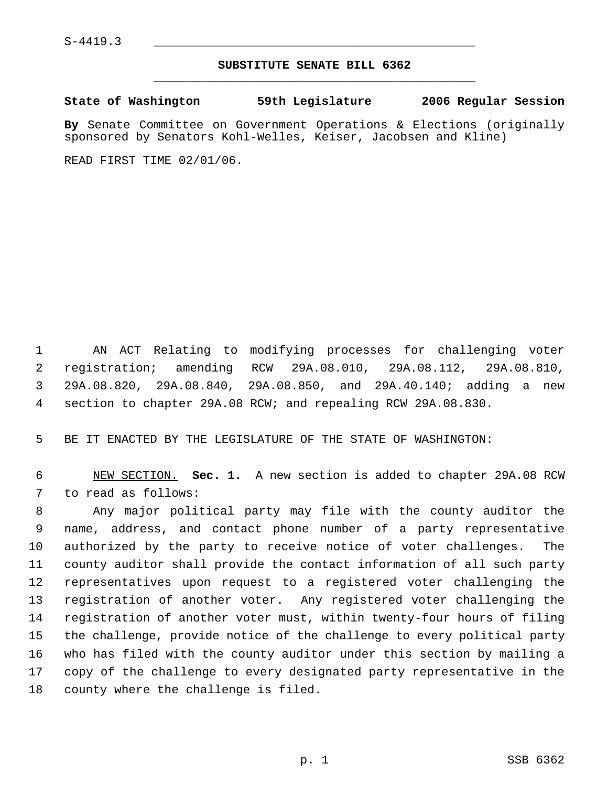## **SUBSTITUTE SENATE BILL 6362** \_\_\_\_\_\_\_\_\_\_\_\_\_\_\_\_\_\_\_\_\_\_\_\_\_\_\_\_\_\_\_\_\_\_\_\_\_\_\_\_\_\_\_\_\_

**State of Washington 59th Legislature 2006 Regular Session**

**By** Senate Committee on Government Operations & Elections (originally sponsored by Senators Kohl-Welles, Keiser, Jacobsen and Kline)

READ FIRST TIME 02/01/06.

 AN ACT Relating to modifying processes for challenging voter registration; amending RCW 29A.08.010, 29A.08.112, 29A.08.810, 29A.08.820, 29A.08.840, 29A.08.850, and 29A.40.140; adding a new section to chapter 29A.08 RCW; and repealing RCW 29A.08.830.

BE IT ENACTED BY THE LEGISLATURE OF THE STATE OF WASHINGTON:

 NEW SECTION. **Sec. 1.** A new section is added to chapter 29A.08 RCW to read as follows:

 Any major political party may file with the county auditor the name, address, and contact phone number of a party representative authorized by the party to receive notice of voter challenges. The county auditor shall provide the contact information of all such party representatives upon request to a registered voter challenging the registration of another voter. Any registered voter challenging the registration of another voter must, within twenty-four hours of filing the challenge, provide notice of the challenge to every political party who has filed with the county auditor under this section by mailing a copy of the challenge to every designated party representative in the county where the challenge is filed.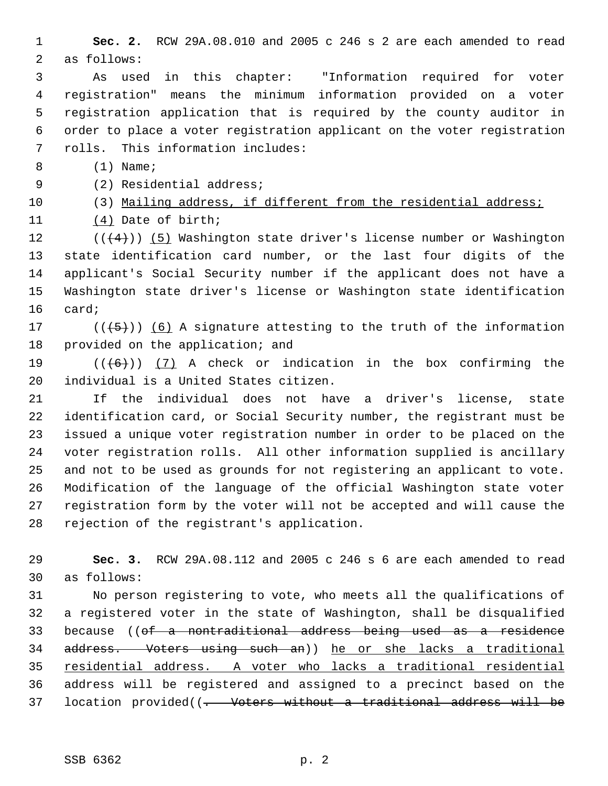**Sec. 2.** RCW 29A.08.010 and 2005 c 246 s 2 are each amended to read as follows:

 As used in this chapter: "Information required for voter registration" means the minimum information provided on a voter registration application that is required by the county auditor in order to place a voter registration applicant on the voter registration rolls. This information includes:

8 (1) Name;

(2) Residential address;

(3) Mailing address, if different from the residential address;

(4) Date of birth;

12 ( $(\langle 4 \rangle)$ ) (5) Washington state driver's license number or Washington state identification card number, or the last four digits of the applicant's Social Security number if the applicant does not have a Washington state driver's license or Washington state identification card;

17 ( $(\overline{5})$ ) (6) A signature attesting to the truth of the information provided on the application; and

19  $((+6))$   $(7)$  A check or indication in the box confirming the individual is a United States citizen.

 If the individual does not have a driver's license, state identification card, or Social Security number, the registrant must be issued a unique voter registration number in order to be placed on the voter registration rolls. All other information supplied is ancillary and not to be used as grounds for not registering an applicant to vote. Modification of the language of the official Washington state voter registration form by the voter will not be accepted and will cause the rejection of the registrant's application.

 **Sec. 3.** RCW 29A.08.112 and 2005 c 246 s 6 are each amended to read as follows:

 No person registering to vote, who meets all the qualifications of a registered voter in the state of Washington, shall be disqualified because ((of a nontraditional address being used as a residence address. Voters using such an)) he or she lacks a traditional residential address. A voter who lacks a traditional residential address will be registered and assigned to a precinct based on the 37 location provided((<del>. Voters without a traditional address will be</del>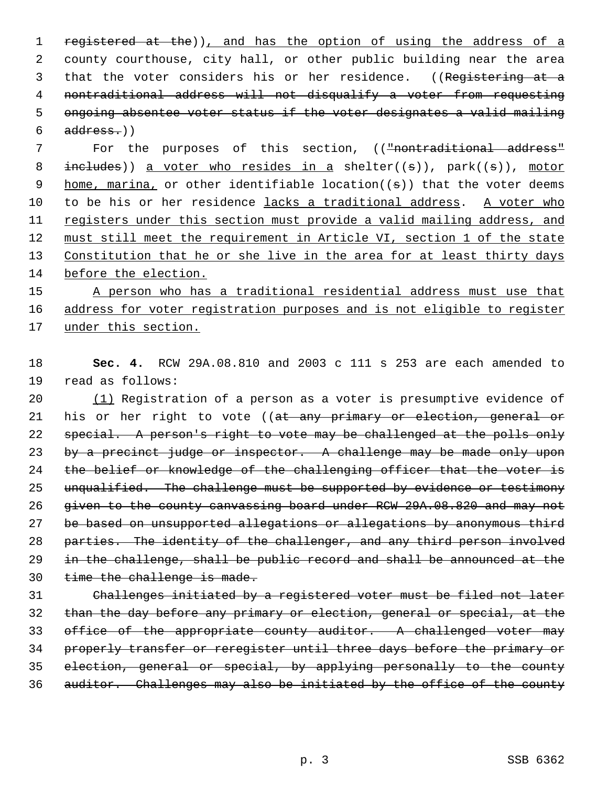1 registered at the)), and has the option of using the address of a county courthouse, city hall, or other public building near the area 3 that the voter considers his or her residence. ((Registering at a nontraditional address will not disqualify a voter from requesting ongoing absentee voter status if the voter designates a valid mailing address.)

7 For the purposes of this section, (("nontraditional address" 8 includes)) a voter who resides in a shelter( $(\sigma)$ ), park( $(\sigma)$ ), motor 9 home, marina, or other identifiable location( $(\sigma)$ ) that the voter deems to be his or her residence lacks a traditional address. A voter who registers under this section must provide a valid mailing address, and must still meet the requirement in Article VI, section 1 of the state 13 Constitution that he or she live in the area for at least thirty days before the election.

 A person who has a traditional residential address must use that address for voter registration purposes and is not eligible to register under this section.

 **Sec. 4.** RCW 29A.08.810 and 2003 c 111 s 253 are each amended to read as follows:

 (1) Registration of a person as a voter is presumptive evidence of 21 his or her right to vote ((at any primary or election, general or special. A person's right to vote may be challenged at the polls only 23 by a precinct judge or inspector. A challenge may be made only upon 24 the belief or knowledge of the challenging officer that the voter is unqualified. The challenge must be supported by evidence or testimony given to the county canvassing board under RCW 29A.08.820 and may not be based on unsupported allegations or allegations by anonymous third 28 parties. The identity of the challenger, and any third person involved 29 in the challenge, shall be public record and shall be announced at the 30 time the challenge is made.

 Challenges initiated by a registered voter must be filed not later than the day before any primary or election, general or special, at the 33 office of the appropriate county auditor. A challenged voter may properly transfer or reregister until three days before the primary or election, general or special, by applying personally to the county auditor. Challenges may also be initiated by the office of the county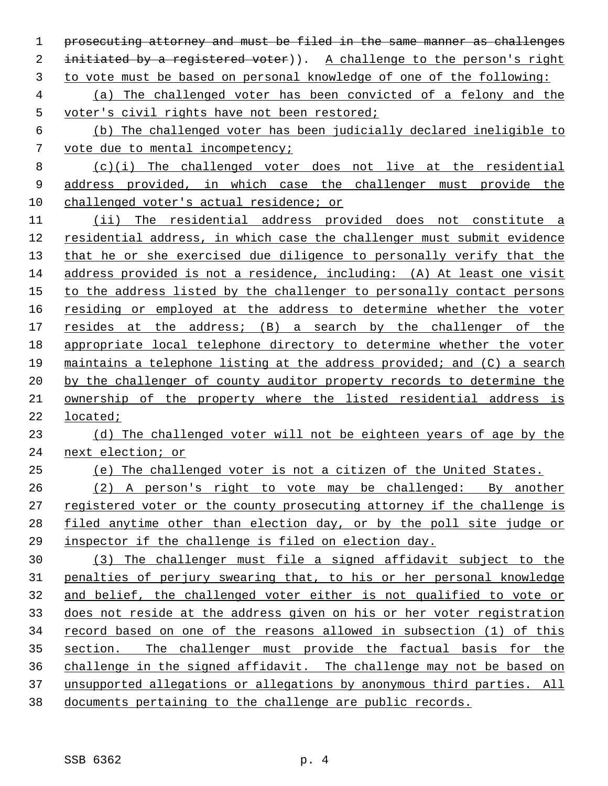prosecuting attorney and must be filed in the same manner as challenges 2 initiated by a registered voter)). A challenge to the person's right to vote must be based on personal knowledge of one of the following: (a) The challenged voter has been convicted of a felony and the voter's civil rights have not been restored; (b) The challenged voter has been judicially declared ineligible to vote due to mental incompetency; (c)(i) The challenged voter does not live at the residential address provided, in which case the challenger must provide the challenged voter's actual residence; or (ii) The residential address provided does not constitute a 12 residential address, in which case the challenger must submit evidence

 that he or she exercised due diligence to personally verify that the address provided is not a residence, including: (A) At least one visit to the address listed by the challenger to personally contact persons 16 residing or employed at the address to determine whether the voter resides at the address; (B) a search by the challenger of the appropriate local telephone directory to determine whether the voter maintains a telephone listing at the address provided; and (C) a search by the challenger of county auditor property records to determine the ownership of the property where the listed residential address is located;

## (d) The challenged voter will not be eighteen years of age by the next election; or

(e) The challenged voter is not a citizen of the United States.

 (2) A person's right to vote may be challenged: By another registered voter or the county prosecuting attorney if the challenge is 28 filed anytime other than election day, or by the poll site judge or inspector if the challenge is filed on election day.

 (3) The challenger must file a signed affidavit subject to the penalties of perjury swearing that, to his or her personal knowledge and belief, the challenged voter either is not qualified to vote or does not reside at the address given on his or her voter registration record based on one of the reasons allowed in subsection (1) of this section. The challenger must provide the factual basis for the challenge in the signed affidavit. The challenge may not be based on unsupported allegations or allegations by anonymous third parties. All documents pertaining to the challenge are public records.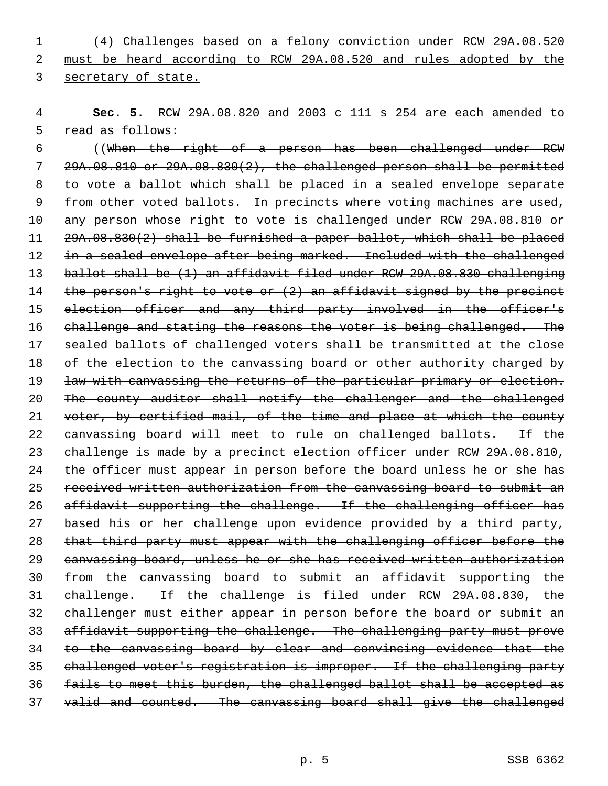(4) Challenges based on a felony conviction under RCW 29A.08.520 must be heard according to RCW 29A.08.520 and rules adopted by the secretary of state.

 **Sec. 5.** RCW 29A.08.820 and 2003 c 111 s 254 are each amended to read as follows:

 ((When the right of a person has been challenged under RCW 29A.08.810 or 29A.08.830(2), the challenged person shall be permitted to vote a ballot which shall be placed in a sealed envelope separate 9 from other voted ballots. In precincts where voting machines are used, any person whose right to vote is challenged under RCW 29A.08.810 or 29A.08.830(2) shall be furnished a paper ballot, which shall be placed 12 in a sealed envelope after being marked. Included with the challenged 13 ballot shall be (1) an affidavit filed under RCW 29A.08.830 challenging 14 the person's right to vote or (2) an affidavit signed by the precinct election officer and any third party involved in the officer's 16 challenge and stating the reasons the voter is being challenged. The sealed ballots of challenged voters shall be transmitted at the close 18 of the election to the canvassing board or other authority charged by 19 law with canvassing the returns of the particular primary or election. The county auditor shall notify the challenger and the challenged voter, by certified mail, of the time and place at which the county canvassing board will meet to rule on challenged ballots. If the 23 challenge is made by a precinct election officer under RCW 29A.08.810, 24 the officer must appear in person before the board unless he or she has received written authorization from the canvassing board to submit an 26 affidavit supporting the challenge. If the challenging officer has based his or her challenge upon evidence provided by a third party, that third party must appear with the challenging officer before the canvassing board, unless he or she has received written authorization from the canvassing board to submit an affidavit supporting the challenge. If the challenge is filed under RCW 29A.08.830, the challenger must either appear in person before the board or submit an affidavit supporting the challenge. The challenging party must prove to the canvassing board by clear and convincing evidence that the challenged voter's registration is improper. If the challenging party fails to meet this burden, the challenged ballot shall be accepted as 37 valid and counted. The canvassing board shall give the challenged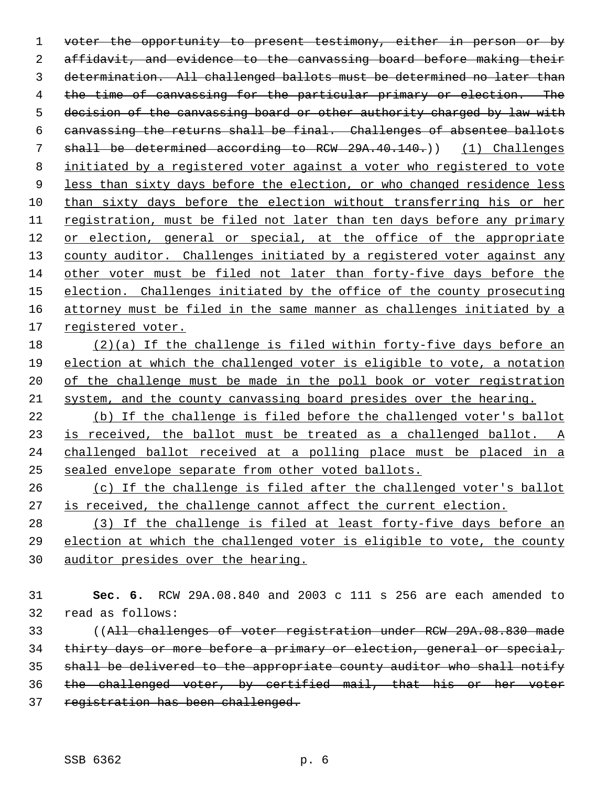1 voter the opportunity to present testimony, either in person or by affidavit, and evidence to the canvassing board before making their determination. All challenged ballots must be determined no later than 4 the time of canvassing for the particular primary or election. The 5 decision of the canvassing board or other authority charged by law with canvassing the returns shall be final. Challenges of absentee ballots 7 shall be determined according to RCW 29A.40.140.)) (1) Challenges initiated by a registered voter against a voter who registered to vote 9 less than sixty days before the election, or who changed residence less than sixty days before the election without transferring his or her registration, must be filed not later than ten days before any primary or election, general or special, at the office of the appropriate 13 county auditor. Challenges initiated by a registered voter against any other voter must be filed not later than forty-five days before the 15 election. Challenges initiated by the office of the county prosecuting 16 attorney must be filed in the same manner as challenges initiated by a registered voter.

 (2)(a) If the challenge is filed within forty-five days before an election at which the challenged voter is eligible to vote, a notation 20 of the challenge must be made in the poll book or voter registration system, and the county canvassing board presides over the hearing.

 (b) If the challenge is filed before the challenged voter's ballot 23 is received, the ballot must be treated as a challenged ballot. A challenged ballot received at a polling place must be placed in a sealed envelope separate from other voted ballots.

 (c) If the challenge is filed after the challenged voter's ballot is received, the challenge cannot affect the current election.

 (3) If the challenge is filed at least forty-five days before an election at which the challenged voter is eligible to vote, the county auditor presides over the hearing.

 **Sec. 6.** RCW 29A.08.840 and 2003 c 111 s 256 are each amended to read as follows:

 ((All challenges of voter registration under RCW 29A.08.830 made thirty days or more before a primary or election, general or special, shall be delivered to the appropriate county auditor who shall notify the challenged voter, by certified mail, that his or her voter registration has been challenged.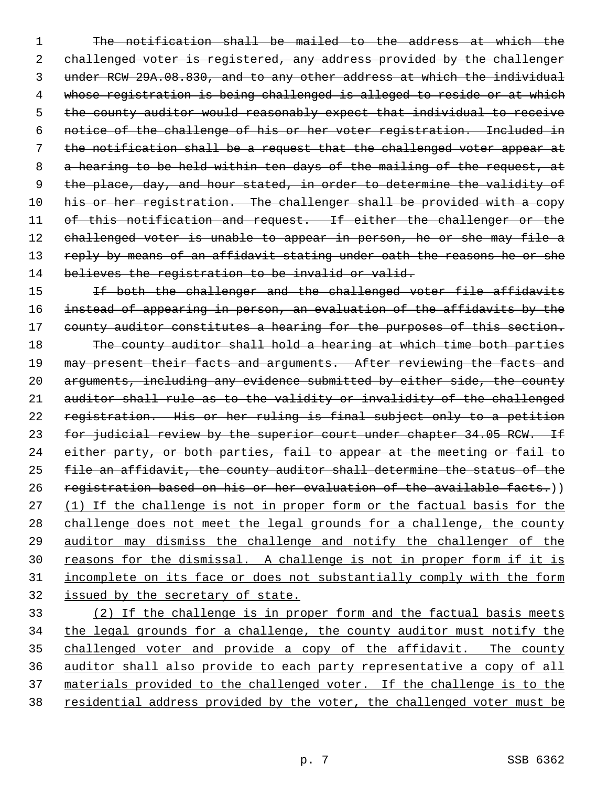1 The notification shall be mailed to the address at which the 2 challenged voter is registered, any address provided by the challenger 3 under RCW 29A.08.830, and to any other address at which the individual 4 whose registration is being challenged is alleged to reside or at which 5 the county auditor would reasonably expect that individual to receive 6 notice of the challenge of his or her voter registration. Included in 7 the notification shall be a request that the challenged voter appear at 8 a hearing to be held within ten days of the mailing of the request, at 9 the place, day, and hour stated, in order to determine the validity of 10 his or her registration. The challenger shall be provided with a copy 11 of this notification and request. If either the challenger or the 12 challenged voter is unable to appear in person, he or she may file a 13 reply by means of an affidavit stating under oath the reasons he or she 14 believes the registration to be invalid or valid.

15 15 If both the challenger and the challenged voter file affidavits 16 instead of appearing in person, an evaluation of the affidavits by the 17 county auditor constitutes a hearing for the purposes of this section. 18 The county auditor shall hold a hearing at which time both parties 19 may present their facts and arguments. After reviewing the facts and 20 arguments, including any evidence submitted by either side, the county 21 auditor shall rule as to the validity or invalidity of the challenged 22 registration. His or her ruling is final subject only to a petition 23 for judicial review by the superior court under chapter 34.05 RCW. If 24 either party, or both parties, fail to appear at the meeting or fail to 25 file an affidavit, the county auditor shall determine the status of the 26 registration based on his or her evaluation of the available facts.)) 27 (1) If the challenge is not in proper form or the factual basis for the 28 challenge does not meet the legal grounds for a challenge, the county 29 auditor may dismiss the challenge and notify the challenger of the 30 reasons for the dismissal. A challenge is not in proper form if it is 31 incomplete on its face or does not substantially comply with the form 32 issued by the secretary of state.

 (2) If the challenge is in proper form and the factual basis meets the legal grounds for a challenge, the county auditor must notify the challenged voter and provide a copy of the affidavit. The county auditor shall also provide to each party representative a copy of all materials provided to the challenged voter. If the challenge is to the 38 residential address provided by the voter, the challenged voter must be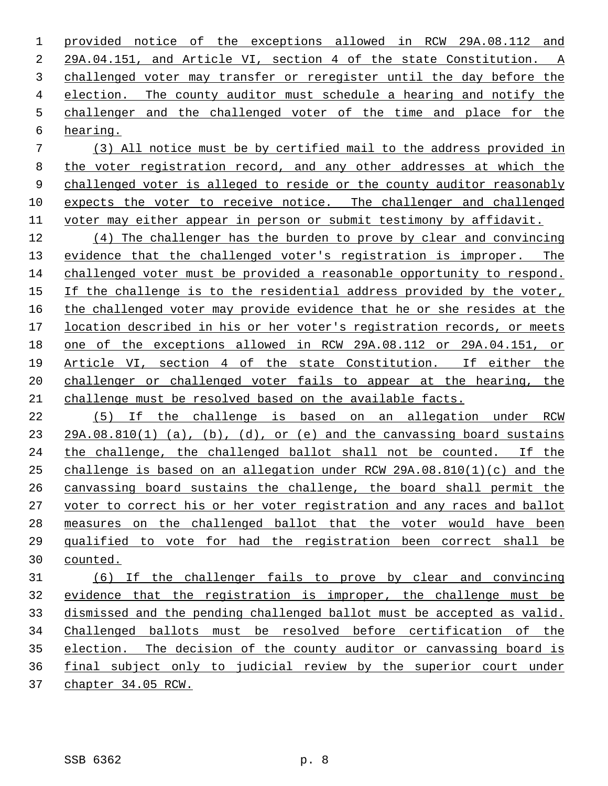provided notice of the exceptions allowed in RCW 29A.08.112 and 29A.04.151, and Article VI, section 4 of the state Constitution. A challenged voter may transfer or reregister until the day before the election. The county auditor must schedule a hearing and notify the challenger and the challenged voter of the time and place for the hearing.

 (3) All notice must be by certified mail to the address provided in the voter registration record, and any other addresses at which the 9 challenged voter is alleged to reside or the county auditor reasonably expects the voter to receive notice. The challenger and challenged 11 voter may either appear in person or submit testimony by affidavit.

 (4) The challenger has the burden to prove by clear and convincing evidence that the challenged voter's registration is improper. The challenged voter must be provided a reasonable opportunity to respond. If the challenge is to the residential address provided by the voter, 16 the challenged voter may provide evidence that he or she resides at the location described in his or her voter's registration records, or meets one of the exceptions allowed in RCW 29A.08.112 or 29A.04.151, or Article VI, section 4 of the state Constitution. If either the challenger or challenged voter fails to appear at the hearing, the challenge must be resolved based on the available facts.

 (5) If the challenge is based on an allegation under RCW 23 29A.08.810(1) (a), (b), (d), or (e) and the canvassing board sustains the challenge, the challenged ballot shall not be counted. If the challenge is based on an allegation under RCW 29A.08.810(1)(c) and the canvassing board sustains the challenge, the board shall permit the voter to correct his or her voter registration and any races and ballot measures on the challenged ballot that the voter would have been qualified to vote for had the registration been correct shall be counted.

 (6) If the challenger fails to prove by clear and convincing evidence that the registration is improper, the challenge must be dismissed and the pending challenged ballot must be accepted as valid. Challenged ballots must be resolved before certification of the election. The decision of the county auditor or canvassing board is final subject only to judicial review by the superior court under chapter 34.05 RCW.